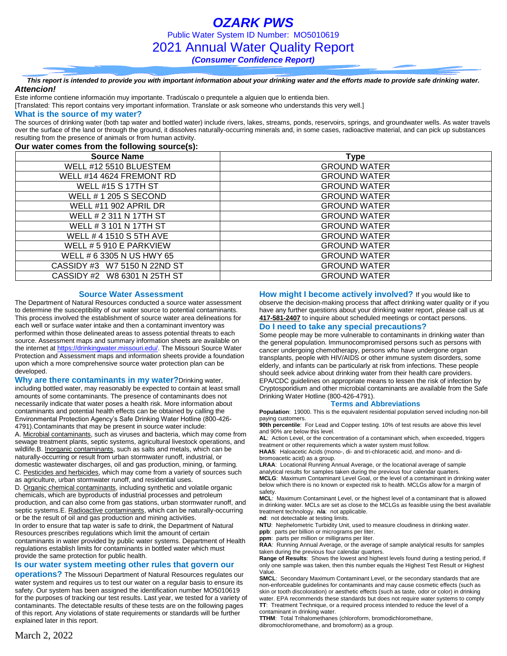*OZARK PWS* Public Water System ID Number: MO5010619 2021 Annual Water Quality Report *(Consumer Confidence Report)*

*This report is intended to provide you with important information about your drinking water and the efforts made to provide safe drinking water. Attencion!*

Este informe contiene información muy importante. Tradúscalo o prequntele a alguien que lo entienda bien.

[Translated: This report contains very important information. Translate or ask someone who understands this very well.]

#### **What is the source of my water?**

The sources of drinking water (both tap water and bottled water) include rivers, lakes, streams, ponds, reservoirs, springs, and groundwater wells. As water travels over the surface of the land or through the ground, it dissolves naturally-occurring minerals and, in some cases, radioactive material, and can pick up substances resulting from the presence of animals or from human activity.

### **Our water comes from the following source(s):**

| <b>Source Name</b>           | <b>Type</b>         |
|------------------------------|---------------------|
| WELL #12 5510 BLUESTEM       | <b>GROUND WATER</b> |
| WELL #14 4624 FREMONT RD     | <b>GROUND WATER</b> |
| <b>WELL #15 S 17TH ST</b>    | <b>GROUND WATER</b> |
| WELL # 1 205 S SECOND        | <b>GROUND WATER</b> |
| <b>WELL #11 902 APRIL DR</b> | <b>GROUND WATER</b> |
| WELL # 2 311 N 17TH ST       | <b>GROUND WATER</b> |
| WELL # 3 101 N 17TH ST       | <b>GROUND WATER</b> |
| WELL # 4 1510 S 5TH AVE      | <b>GROUND WATER</b> |
| WELL # 5 910 E PARKVIEW      | <b>GROUND WATER</b> |
| WELL # 6 3305 N US HWY 65    | <b>GROUND WATER</b> |
| CASSIDY #3 W7 5150 N 22ND ST | <b>GROUND WATER</b> |
| CASSIDY #2 W8 6301 N 25TH ST | <b>GROUND WATER</b> |

### **Source Water Assessment**

The Department of Natural Resources conducted a source water assessment to determine the susceptibility of our water source to potential contaminants. This process involved the establishment of source water area delineations for each well or surface water intake and then a contaminant inventory was performed within those delineated areas to assess potential threats to each source. Assessment maps and summary information sheets are available on the internet a[t https://drinkingwater.missouri.edu/.](https://drinkingwater.missouri.edu/) The Missouri Source Water Protection and Assessment maps and information sheets provide a foundation upon which a more comprehensive source water protection plan can be developed.

**Why are there contaminants in my water?**Drinking water, including bottled water, may reasonably be expected to contain at least small amounts of some contaminants. The presence of contaminants does not necessarily indicate that water poses a health risk. More information about contaminants and potential health effects can be obtained by calling the Environmental Protection Agency's Safe Drinking Water Hotline (800-426- 4791).Contaminants that may be present in source water include: A. Microbial contaminants, such as viruses and bacteria, which may come from sewage treatment plants, septic systems, agricultural livestock operations, and wildlife.B. Inorganic contaminants, such as salts and metals, which can be naturally-occurring or result from urban stormwater runoff, industrial, or

domestic wastewater discharges, oil and gas production, mining, or farming. C. Pesticides and herbicides, which may come from a variety of sources such as agriculture, urban stormwater runoff, and residential uses.

D. Organic chemical contaminants, including synthetic and volatile organic chemicals, which are byproducts of industrial processes and petroleum production, and can also come from gas stations, urban stormwater runoff, and septic systems.E. Radioactive contaminants, which can be naturally-occurring or be the result of oil and gas production and mining activities.

In order to ensure that tap water is safe to drink, the Department of Natural Resources prescribes regulations which limit the amount of certain contaminants in water provided by public water systems. Department of Health regulations establish limits for contaminants in bottled water which must provide the same protection for public health.

### **Is our water system meeting other rules that govern our**

**operations?** The Missouri Department of Natural Resources regulates our water system and requires us to test our water on a regular basis to ensure its safety. Our system has been assigned the identification number MO5010619 for the purposes of tracking our test results. Last year, we tested for a variety of contaminants. The detectable results of these tests are on the following pages of this report. Any violations of state requirements or standards will be further explained later in this report.

**How might I become actively involved?** If you would like to observe the decision-making process that affect drinking water quality or if you have any further questions about your drinking water report, please call us at **417-581-2407** to inquire about scheduled meetings or contact persons.

### **Do I need to take any special precautions?**

Some people may be more vulnerable to contaminants in drinking water than the general population. Immunocompromised persons such as persons with cancer undergoing chemotherapy, persons who have undergone organ transplants, people with HIV/AIDS or other immune system disorders, some elderly, and infants can be particularly at risk from infections. These people should seek advice about drinking water from their health care providers. EPA/CDC guidelines on appropriate means to lessen the risk of infection by Cryptosporidium and other microbial contaminants are available from the Safe Drinking Water Hotline (800-426-4791).

### **Terms and Abbreviations**

**Population**: 19000. This is the equivalent residential population served including non-bill paying customers.

**90th percentile**: For Lead and Copper testing. 10% of test results are above this level and 90% are below this level.

**AL**: Action Level, or the concentration of a contaminant which, when exceeded, triggers treatment or other requirements which a water system must follow.

**HAA5**: Haloacetic Acids (mono-, di- and tri-chloracetic acid, and mono- and dibromoacetic acid) as a group.

**LRAA**: Locational Running Annual Average, or the locational average of sample analytical results for samples taken during the previous four calendar quarters. **MCLG**: Maximum Contaminant Level Goal, or the level of a contaminant in drinking water below which there is no known or expected risk to health. MCLGs allow for a margin of safety.

**MCL**: Maximum Contaminant Level, or the highest level of a contaminant that is allowed in drinking water. MCLs are set as close to the MCLGs as feasible using the best available treatment technology. **n/a**: not applicable.

**nd**: not detectable at testing limits.

**NTU**: Nephelometric Turbidity Unit, used to measure cloudiness in drinking water. **ppb**: parts per billion or micrograms per liter.

**ppm**: parts per million or milligrams per liter.

**RAA**: Running Annual Average, or the average of sample analytical results for samples taken during the previous four calendar quarters.

**Range of Results**: Shows the lowest and highest levels found during a testing period, if only one sample was taken, then this number equals the Highest Test Result or Highest Value.

**SMCL**: Secondary Maximum Contaminant Level, or the secondary standards that are non-enforceable guidelines for contaminants and may cause cosmetic effects (such as skin or tooth discoloration) or aesthetic effects (such as taste, odor or color) in drinking water. EPA recommends these standards but does not require water systems to comply **TT**: Treatment Technique, or a required process intended to reduce the level of a contaminant in drinking water.

**TTHM**: Total Trihalomethanes (chloroform, bromodichloromethane, dibromochloromethane, and bromoform) as a group.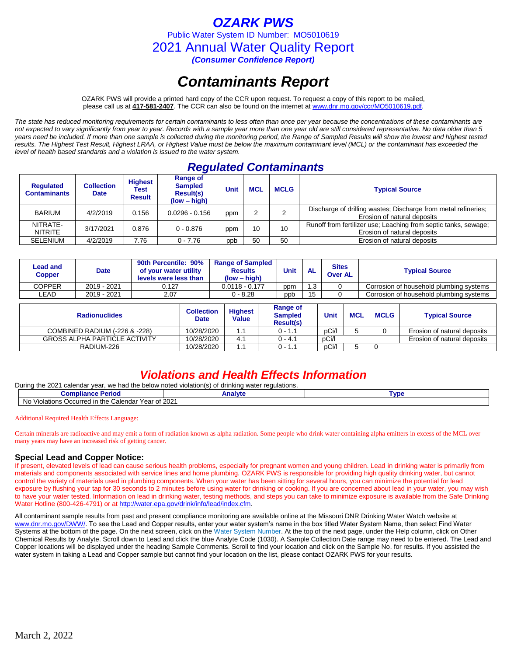## *OZARK PWS*

Public Water System ID Number: MO5010619

2021 Annual Water Quality Report

*(Consumer Confidence Report)*

# *Contaminants Report*

OZARK PWS will provide a printed hard copy of the CCR upon request. To request a copy of this report to be mailed, please call us at **417-581-2407***.* The CCR can also be found on the internet at www.dnr.mo.gov/ccr/MO5010619.pdf.

*The state has reduced monitoring requirements for certain contaminants to less often than once per year because the concentrations of these contaminants are not expected to vary significantly from year to year. Records with a sample year more than one year old are still considered representative. No data older than 5 years need be included. If more than one sample is collected during the monitoring period, the Range of Sampled Results will show the lowest and highest tested results. The Highest Test Result, Highest LRAA, or Highest Value must be below the maximum contaminant level (MCL) or the contaminant has exceeded the level of health based standards and a violation is issued to the water system.* 

# *Regulated Contaminants*

| <b>Requlated</b><br><b>Contaminants</b> | <b>Collection</b><br><b>Date</b> | <b>Highest</b><br>Test<br><b>Result</b> | Range of<br><b>Sampled</b><br><b>Result(s)</b><br>$(low - high)$ | Unit | <b>MCL</b> | <b>MCLG</b> | <b>Typical Source</b>                                                                          |
|-----------------------------------------|----------------------------------|-----------------------------------------|------------------------------------------------------------------|------|------------|-------------|------------------------------------------------------------------------------------------------|
| <b>BARIUM</b>                           | 4/2/2019                         | 0.156                                   | $0.0296 - 0.156$                                                 | ppm  |            |             | Discharge of drilling wastes; Discharge from metal refineries;<br>Erosion of natural deposits  |
| NITRATE-<br><b>NITRITE</b>              | 3/17/2021                        | 0.876                                   | $0 - 0.876$                                                      | ppm  | 10         | 10          | Runoff from fertilizer use; Leaching from septic tanks, sewage;<br>Erosion of natural deposits |
| <b>SELENIUM</b>                         | 4/2/2019                         | 7.76                                    | $0 - 7.76$                                                       | ppb  | 50         | 50          | Erosion of natural deposits                                                                    |

| <b>Lead and</b><br><b>Copper</b>     | <b>Date</b> | 90th Percentile: 90%<br>of your water utility<br>levels were less than |                                | <b>Range of Sampled</b><br><b>Results</b><br>$(low - high)$ |                                                | <b>Unit</b> | <b>AL</b>   | <b>Sites</b><br><b>Over AL</b> |                                         | <b>Typical Source</b>                   |  |  |
|--------------------------------------|-------------|------------------------------------------------------------------------|--------------------------------|-------------------------------------------------------------|------------------------------------------------|-------------|-------------|--------------------------------|-----------------------------------------|-----------------------------------------|--|--|
| <b>COPPER</b>                        | 2019 - 2021 | 0.127                                                                  |                                | $0.0118 - 0.177$                                            | ppm                                            | 1.3         | 0           |                                | Corrosion of household plumbing systems |                                         |  |  |
| LEAD                                 | 2019 - 2021 | 2.07                                                                   |                                | $0 - 8.28$                                                  |                                                | ppb         | 15<br>0     |                                |                                         | Corrosion of household plumbing systems |  |  |
| <b>Radionuclides</b>                 |             | <b>Collection</b><br><b>Date</b>                                       | <b>Highest</b><br><b>Value</b> |                                                             | Range of<br><b>Sampled</b><br><b>Result(s)</b> |             | <b>Unit</b> | <b>MCL</b>                     | <b>MCLG</b>                             | <b>Typical Source</b>                   |  |  |
| COMBINED RADIUM (-226 & -228)        |             | 10/28/2020                                                             | l.1                            | $0 - 1.1$                                                   |                                                |             |             |                                |                                         | Erosion of natural deposits             |  |  |
| <b>GROSS ALPHA PARTICLE ACTIVITY</b> |             | 10/28/2020                                                             | 4.1                            |                                                             | $0 - 4.1$                                      |             | pCi/l       |                                |                                         | Erosion of natural deposits             |  |  |
| RADIUM-226                           |             |                                                                        | 10/28/2020                     | 1.1                                                         |                                                | $0 - 1.1$   |             | pCi/l                          | 5.                                      |                                         |  |  |

## *Violations and Health Effects Information*

During the 2021 calendar year, we had the below noted violation(s) of drinking water regulations.

| Compliar<br>'erioa<br>166                                                     | ∧nalvtr | <b>VD</b> |  |  |  |
|-------------------------------------------------------------------------------|---------|-----------|--|--|--|
| No<br>⊧the<br>. Calendar<br>. ~+<br>Violations<br>Year<br>. Occurred in<br>νı | 2021    |           |  |  |  |

### Additional Required Health Effects Language:

Certain minerals are radioactive and may emit a form of radiation known as alpha radiation. Some people who drink water containing alpha emitters in excess of the MCL over many years may have an increased risk of getting cancer.

## **Special Lead and Copper Notice:**

If present, elevated levels of lead can cause serious health problems, especially for pregnant women and young children. Lead in drinking water is primarily from materials and components associated with service lines and home plumbing. OZARK PWS is responsible for providing high quality drinking water, but cannot control the variety of materials used in plumbing components. When your water has been sitting for several hours, you can minimize the potential for lead exposure by flushing your tap for 30 seconds to 2 minutes before using water for drinking or cooking. If you are concerned about lead in your water, you may wish to have your water tested. Information on lead in drinking water, testing methods, and steps you can take to minimize exposure is available from the Safe Drinking Water Hotline (800-426-4791) or at [http://water.epa.gov/drink/info/lead/index.cfm.](http://water.epa.gov/drink/info/lead/index.cfm)

All contaminant sample results from past and present compliance monitoring are available online at the Missouri DNR Drinking Water Watch website at [www.dnr.mo.gov/DWW/.](http://www.dnr.mo.gov/DWW/) To see the Lead and Copper results, enter your water system's name in the box titled Water System Name, then select Find Water Systems at the bottom of the page. On the next screen, click on the Water System Number. At the top of the next page, under the Help column, click on Other Chemical Results by Analyte. Scroll down to Lead and click the blue Analyte Code (1030). A Sample Collection Date range may need to be entered. The Lead and Copper locations will be displayed under the heading Sample Comments. Scroll to find your location and click on the Sample No. for results. If you assisted the water system in taking a Lead and Copper sample but cannot find your location on the list, please contact OZARK PWS for your results.